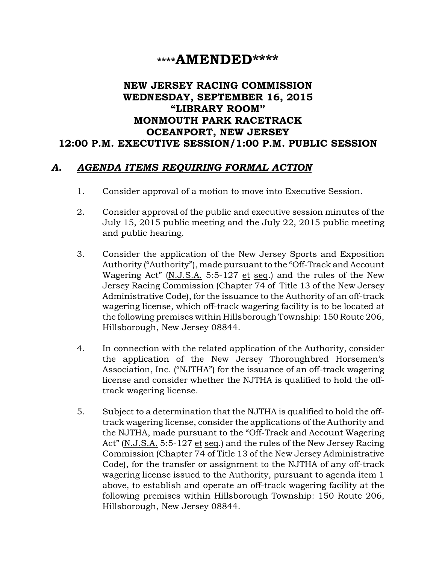# \*\*\*\*AMENDED\*\*\*\*

## NEW JERSEY RACING COMMISSION WEDNESDAY, SEPTEMBER 16, 2015 "LIBRARY ROOM" MONMOUTH PARK RACETRACK OCEANPORT, NEW JERSEY 12:00 P.M. EXECUTIVE SESSION/1:00 P.M. PUBLIC SESSION

### *A. AGENDA ITEMS REQUIRING FORMAL ACTION*

- 1. Consider approval of a motion to move into Executive Session.
- 2. Consider approval of the public and executive session minutes of the July 15, 2015 public meeting and the July 22, 2015 public meeting and public hearing.
- 3. Consider the application of the New Jersey Sports and Exposition Authority ("Authority"), made pursuant to the "Off-Track and Account Wagering Act" (N.J.S.A. 5:5-127 et seq.) and the rules of the New Jersey Racing Commission (Chapter 74 of Title 13 of the New Jersey Administrative Code), for the issuance to the Authority of an off-track wagering license, which off-track wagering facility is to be located at the following premises within Hillsborough Township: 150 Route 206, Hillsborough, New Jersey 08844.
- 4. In connection with the related application of the Authority, consider the application of the New Jersey Thoroughbred Horsemen's Association, Inc. ("NJTHA") for the issuance of an off-track wagering license and consider whether the NJTHA is qualified to hold the offtrack wagering license.
- 5. Subject to a determination that the NJTHA is qualified to hold the offtrack wagering license, consider the applications of the Authority and the NJTHA, made pursuant to the "Off-Track and Account Wagering Act" (N.J.S.A. 5:5-127 et seq.) and the rules of the New Jersey Racing Commission (Chapter 74 of Title 13 of the New Jersey Administrative Code), for the transfer or assignment to the NJTHA of any off-track wagering license issued to the Authority, pursuant to agenda item 1 above, to establish and operate an off-track wagering facility at the following premises within Hillsborough Township: 150 Route 206, Hillsborough, New Jersey 08844.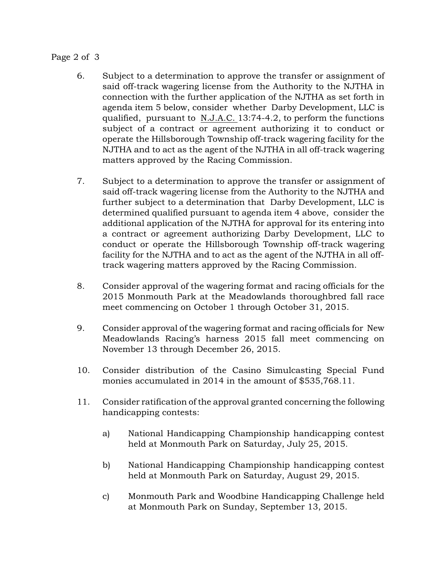#### Page 2 of 3

- 6. Subject to a determination to approve the transfer or assignment of said off-track wagering license from the Authority to the NJTHA in connection with the further application of the NJTHA as set forth in agenda item 5 below, consider whether Darby Development, LLC is qualified, pursuant to N.J.A.C. 13:74-4.2, to perform the functions subject of a contract or agreement authorizing it to conduct or operate the Hillsborough Township off-track wagering facility for the NJTHA and to act as the agent of the NJTHA in all off-track wagering matters approved by the Racing Commission.
- 7. Subject to a determination to approve the transfer or assignment of said off-track wagering license from the Authority to the NJTHA and further subject to a determination that Darby Development, LLC is determined qualified pursuant to agenda item 4 above, consider the additional application of the NJTHA for approval for its entering into a contract or agreement authorizing Darby Development, LLC to conduct or operate the Hillsborough Township off-track wagering facility for the NJTHA and to act as the agent of the NJTHA in all offtrack wagering matters approved by the Racing Commission.
- 8. Consider approval of the wagering format and racing officials for the 2015 Monmouth Park at the Meadowlands thoroughbred fall race meet commencing on October 1 through October 31, 2015.
- 9. Consider approval of the wagering format and racing officials for New Meadowlands Racing's harness 2015 fall meet commencing on November 13 through December 26, 2015.
- 10. Consider distribution of the Casino Simulcasting Special Fund monies accumulated in 2014 in the amount of \$535,768.11.
- 11. Consider ratification of the approval granted concerning the following handicapping contests:
	- a) National Handicapping Championship handicapping contest held at Monmouth Park on Saturday, July 25, 2015.
	- b) National Handicapping Championship handicapping contest held at Monmouth Park on Saturday, August 29, 2015.
	- c) Monmouth Park and Woodbine Handicapping Challenge held at Monmouth Park on Sunday, September 13, 2015.